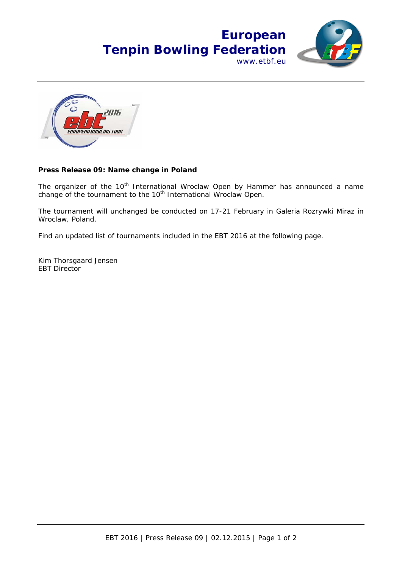



## **Press Release 09: Name change in Poland**

The organizer of the 10<sup>th</sup> International Wroclaw Open by Hammer has announced a name change of the tournament to the 10<sup>th</sup> International Wroclaw Open.

The tournament will unchanged be conducted on 17-21 February in Galeria Rozrywki Miraz in Wroclaw, Poland.

Find an updated list of tournaments included in the EBT 2016 at the following page.

Kim Thorsgaard Jensen EBT Director